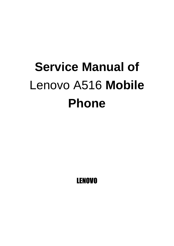# **Service Manual of**  Lenovo A516 **Mobile Phone**

LENOVO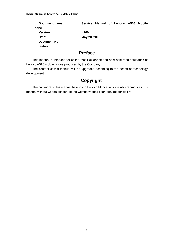| Document name   | <b>Service</b> |  | Manual of Lenovo A516 Mobile |  |
|-----------------|----------------|--|------------------------------|--|
| Phone           |                |  |                              |  |
| <b>Version:</b> | <b>V100</b>    |  |                              |  |
| Date:           | May 28, 2013   |  |                              |  |
| Document No.:   |                |  |                              |  |
| Status:         |                |  |                              |  |

#### **Preface**

This manual is intended for online repair guidance and after-sale repair guidance of Lenovo A516 mobile phone produced by the Company

The content of this manual will be upgraded according to the needs of technology development.

#### **Copyright**

The copyright of this manual belongs to Lenovo Mobile; anyone who reproduces this manual without written consent of the Company shall bear legal responsibility.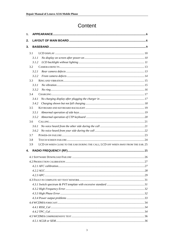## Content

| 1.                                                                                      |  |  |  |
|-----------------------------------------------------------------------------------------|--|--|--|
| 2.                                                                                      |  |  |  |
| 3.                                                                                      |  |  |  |
| 3.1                                                                                     |  |  |  |
| 3.1.1                                                                                   |  |  |  |
| 3.1.2                                                                                   |  |  |  |
| 3.2                                                                                     |  |  |  |
| 3.2.1                                                                                   |  |  |  |
| 3.2.2                                                                                   |  |  |  |
| 3.3                                                                                     |  |  |  |
| 3.3.1                                                                                   |  |  |  |
| 3.3.2                                                                                   |  |  |  |
| 3.4                                                                                     |  |  |  |
| 3.4.1                                                                                   |  |  |  |
| 3.4.2                                                                                   |  |  |  |
| $3.5^{\circ}$                                                                           |  |  |  |
| 3.5.1                                                                                   |  |  |  |
|                                                                                         |  |  |  |
| 3.6                                                                                     |  |  |  |
| 3.6.1                                                                                   |  |  |  |
|                                                                                         |  |  |  |
| 3.7                                                                                     |  |  |  |
| 3.8                                                                                     |  |  |  |
| LCD ON WHEN CLOSE TO THE EAR DURING THE CALL; LCD OFF WHEN AWAY FROM THE EAR. 25<br>3.9 |  |  |  |
| 4.                                                                                      |  |  |  |
|                                                                                         |  |  |  |
|                                                                                         |  |  |  |
|                                                                                         |  |  |  |
|                                                                                         |  |  |  |
|                                                                                         |  |  |  |
|                                                                                         |  |  |  |
|                                                                                         |  |  |  |
|                                                                                         |  |  |  |
|                                                                                         |  |  |  |
|                                                                                         |  |  |  |
|                                                                                         |  |  |  |
|                                                                                         |  |  |  |
|                                                                                         |  |  |  |
|                                                                                         |  |  |  |
|                                                                                         |  |  |  |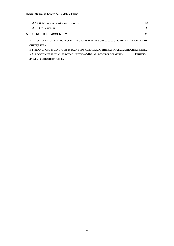| 5.1 ASSEMBLY PROCESS SEQUENCE OF LENOVO A516 MAIN BODY OIIIMEKA! ЗАКЛАДКА НЕ      |
|-----------------------------------------------------------------------------------|
| ОПРЕДЕЛЕНА.                                                                       |
| 5.2 PRECAUTIONS IN LENOVO A516 MAIN BODY ASSEMBLY ОШИБКА! ЗАКЛАДКА НЕ ОПРЕДЕЛЕНА. |
| 5.3 PRECAUTIONS IN DISASSEMBLY OF LENOVO A516 MAIN BODY FOR REPAIRING OIIIHEKA!   |
| ЗАКЛАДКА НЕ ОПРЕДЕЛЕНА.                                                           |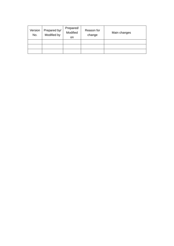| Version<br>No. | Prepared by/<br>Modified by | Prepared/<br>Modified<br>on | Reason for<br>change | Main changes |
|----------------|-----------------------------|-----------------------------|----------------------|--------------|
|                |                             |                             |                      |              |
|                |                             |                             |                      |              |
|                |                             |                             |                      |              |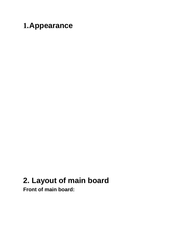# <span id="page-5-0"></span>**1.Appearance**

# <span id="page-5-1"></span>**2. Layout of main board Front of main board:**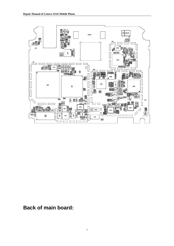

**Back of main board:**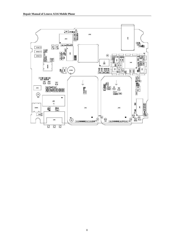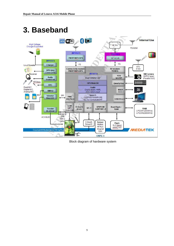<span id="page-8-0"></span>

Block diagram of hardware system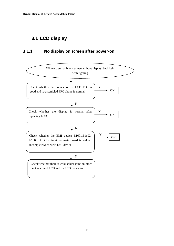## <span id="page-9-0"></span>**3.1 LCD display**

#### <span id="page-9-1"></span>**3.1.1 No display on screen after power-on**

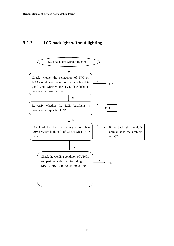#### <span id="page-10-0"></span>**3.1.2 LCD backlight without lighting**

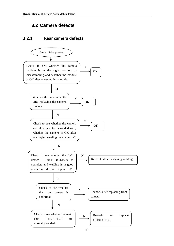#### <span id="page-12-0"></span>**3.2 Camera defects**

#### <span id="page-12-1"></span>**3.2.1 Rear camera defects**

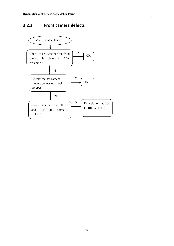#### <span id="page-13-0"></span>**3.2.2 Front camera defects**

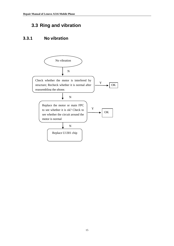## <span id="page-14-0"></span>**3.3 Ring and vibration**

#### <span id="page-14-1"></span>**3.3.1 No vibration**

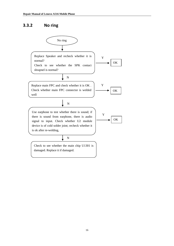#### <span id="page-15-0"></span>**3.3.2 No ring**

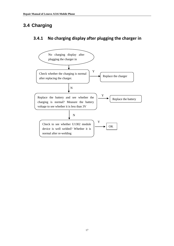## <span id="page-16-0"></span>**3.4 Charging**

#### <span id="page-16-1"></span>**3.4.1 No charging display after plugging the charger in**

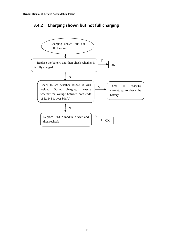<span id="page-17-0"></span>

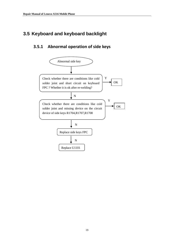#### <span id="page-18-0"></span>**3.5 Keyboard and keyboard backlight**

#### <span id="page-18-1"></span>**3.5.1 Abnormal operation of side keys**

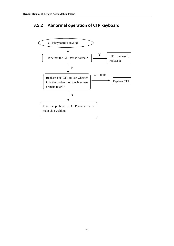#### <span id="page-19-0"></span>**3.5.2 Abnormal operation of CTP keyboard**

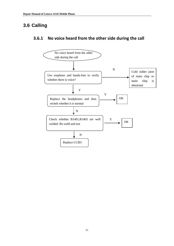### <span id="page-20-0"></span>**3.6 Calling**

#### <span id="page-20-1"></span>**3.6.1 No voice heard from the other side during the call**

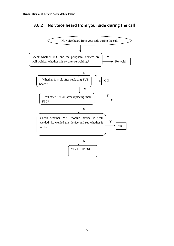#### **3.6.2 No voice heard from your side during the call**

<span id="page-21-0"></span>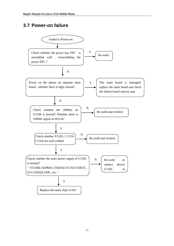#### <span id="page-22-0"></span>**3.7 Power-on failure**

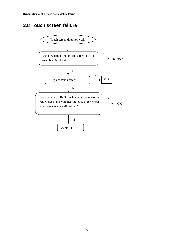## <span id="page-23-0"></span>**3.8 Touch screen failure**

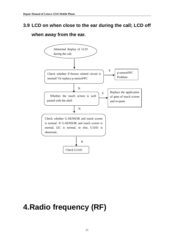#### <span id="page-24-0"></span>**3.9 LCD on when close to the ear during the call; LCD off**

#### **when away from the ear.**



# <span id="page-24-1"></span>**4.Radio frequency (RF)**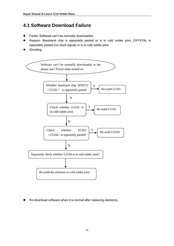#### <span id="page-25-0"></span>**4.1 Software Download Failure**

- ⚫ Faults: Software can't be normally downloaded.
- ⚫ Reason: Baseband chip is oppositely pasted or is in cold solder joint; CRYSTAL is oppositely pasted (no clock signal) or is in cold solder joint.
- Shooting:



⚫ Re-download software when it is normal after replacing elements,.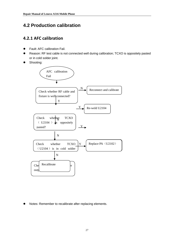## <span id="page-26-0"></span>**4.2 Production calibration**

#### <span id="page-26-1"></span>**4.2.1 AFC calibration**

- Fault: AFC calibration Fail.
- ⚫ Reason: RF test cable is not connected well during calibration; TCXO is oppositely pasted or in cold solder joint.
- Shooting:



⚫ Notes: Remember to recalibrate after replacing elements.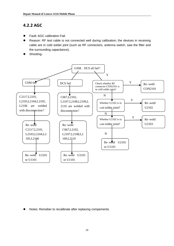#### <span id="page-27-0"></span>**4.2.2 AGC**

- ⚫ Fault: AGC calibration Fail.
- ⚫ Reason: RF test cable is not connected well during calibration; the devices in receiving cable are in cold solder joint (such as RF connectors, antenna switch, saw the filter and the surrounding capacitance).
- Shooting:



⚫ Notes: Remeber to recalibrate after replacing compements.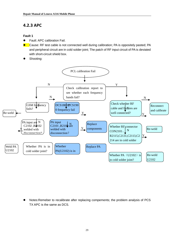#### <span id="page-28-0"></span>**4.2.3 APC**

#### **Fault 1**

- ⚫ Fault: APC calibration Fail.
- Cause: RF test cable is not connected well during calibration; PA is oppositely pasted; PA and peripheral circuit are in cold solder joint; The patch of RF input circuit of PA is deviated with short-circuit shield box.
- Shooting:



⚫ Notes:Remeber to recalibrate after replacing compements; the problem analysis of PCS TX APC is the same as DCS.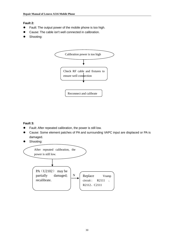#### **Fault 2:**

- Fault: The output power of the mobile phone is too high.
- Cause: The cable isn't well connected in calibration.
- Shooting:



#### **Fault 3:**

- Fault: After repeated calibration, the power is still low.
- Cause: Some element patches of PA and surrounding VAPC input are displaced or PA is damaged.
- Shooting:

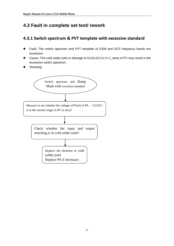### <span id="page-30-0"></span>**4.3 Fault in complete set test/ rework**

#### <span id="page-30-1"></span>**4.3.1 Switch spectrum & PVT template with excessive standard**

- Fault: The switch spectrum and PVT template of GSM and DCS frequency bands are excessive.
- ⚫ Cause: The cold solder joint or damage to R2204,R2210 in V\_ramp of PV may result in the excessive switch spectrum.
- Shooting:

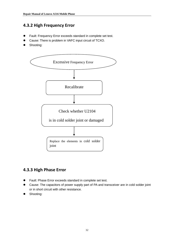#### <span id="page-31-0"></span>**4.3.2 High Frequency Error**

- ⚫ Fault: Frequency Error exceeds standard in complete set test.
- ⚫ Cause: There is problem in VAFC input circuit of TCXO.
- Shooting:



#### <span id="page-31-1"></span>**4.3.3 High Phase Error**

- ⚫ Fault: Phase Error exceeds standard in complete set test.
- ⚫ Cause: The capacitors of power supply part of PA and transceiver are in cold solder joint or in short circuit with other resistance.
- Shooting: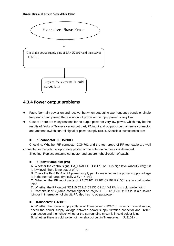

#### <span id="page-32-0"></span>**4.3.4 Power output problems**

- ⚫ Fault: Normally power-on and receive, but when outputting two frequency bands or single frequency band power, there is no input power or the input power is very low.
- ⚫ Cause: There are many reasons for no output power or very low power, which may be the results of faults of Transceiver output part, PA input and output circuit, antenna connector and antenna switch control signal or power supply circuit. Specific circumstances are:

#### ◼ **RF connector**(**CON2101**)

Checking: Whether RF connector CON701 and the test probe of RF test cable are well connected or the patch is oppositely pasted or the antenna connector is damaged.

Shooting: Replace antenna connector and ensure right direction of patch.

#### ◼ **RF power amplifier (PA)**

A. Whether the control signal PA\_ENABLE (Pin17) of PA is high level (about 2.8V); if it is low level, there is no output of PA;

B. Check the Pin3 Pin4 of PA power supply part to see whether the power supply voltage is in the normal range (typically  $3.6V \sim 4.2V$ );

C. Whether the RF input parts of PA(C2101,R2102,C2102,R2105) are in cold solder joint;

D. Whether the RF output (R2115, C2113, C2131, C2114 ) of PA is in cold solder joint; E. Part circuit of V ramp control signal of  $PA(R2111,R21123,C2111)$ : if it is in old solder joint or in interruption of circuit, PA also has no output power.

#### ◼ **Transceiver**(**U2101**)

A. Whether the power supply voltage of Transceiver  $(U2101)$  is within normal range; check the power supply voltage between power supply filtration capacitor and U2101 connection and then check whether the surrounding circuit is in cold solder joint. B. Whether there is cold solder joint or short circuit in Transceiver (U2101).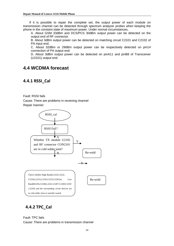If it is possible to repair the complete set, the output power of each module on transmission channel can be detected through spectrum analyzer probes when keeping the phone in the constant state of maximum power. Under normal circumstances,

A. About GSM 33dBm and DCS/PCS 30dBm output power can be detected on the output end of RF connector.

B. About 3dBm output power can be detected on matching circuit C2101 and C2102 of PA input end;

C. About 32dBm or 29dBm output power can be respectively detected on pin14 connection of PA output end;

D. About 3dBm output power can be detected on pinA11 and pinB8 of Transceiver (U2101) output end.

#### <span id="page-33-0"></span>**4.4 WCDMA forecast**

#### <span id="page-33-1"></span>**4.4.1 RSSI\_Cal**

Fault: RSSI fails

Cause: There are problems in receiving channel Repair manner:



#### <span id="page-33-2"></span>**4.4.2 TPC\_Cal**

Fault: TPC fails Cause: There are problems in transmission channel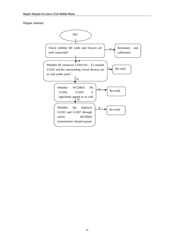#### Repair manner:

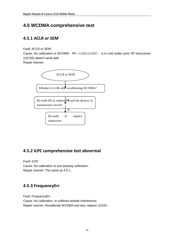#### <span id="page-35-0"></span>**4.5 WCDMA comprehensive test**

#### <span id="page-35-1"></span>**4.5.1 ACLR or SEM**

Fault: ACLR or SEM

Cause: No calibration or WCDMA PA (U2202,U2203) is in cold solder joint; RF transceiver (U2105) doesn't work well.

Repair manner:



#### <span id="page-35-2"></span>**4.5.2 ILPC comprehensive test abnormal**

Fault: ILPC Cause: No calibration or just passing calibration. Repair manner: The same as 4.5.1.

#### <span id="page-35-3"></span>**4.5.3 FrequencyErr**

Fault: FrequencyErr Cause: No calibration, or suffered outside interference Repair manner: Recalibrate WCDMA and test; replace U2104.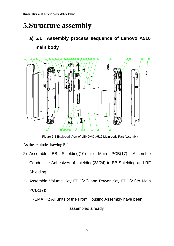# <span id="page-36-0"></span>**5.Structure assembly**

# **a) 5.1 Assembly process sequence of Lenovo A516 main body**



Figure 5-2 Exploded View of LENOVO A516 Main body Part Assembly

As the explode drawing 5-2

- 2) Assemble BB Shielding(10) to Main PCB(17) ;Assemble Conductive Adhesives of shielding(23/24) to BB Shielding and RF Shielding ;
- 3) Assemble Volume Key FPC(22) and Power Key FPC(21)to Main PCB(17);

REMARK: All units of the Front Housing Assembly have been

assembled already.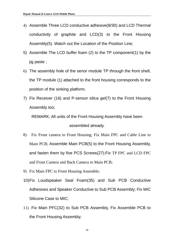- 4) Assemble Three LCD conductive adhesive(8/30) and LCD Thermal conductivity of graphite and LCD(3) to the Front Housing Assembly(5). Watch out the Location of the Position Line;
- 5) Assemble The LCD buffer foam (2) to the TP component(1) by the jig paste ;
- 6) The assembly hole of the senor module TP through the front shell, the TP module (1) attached to the front housing corresponds to the position of the sinking platform;
- 7) Fix Receiver (16) and P-sensor silica gel(7) to the Front Housing Assembly too; REMARK: All units of the Front Housing Assembly have been assembled already.
- 8) Fix Front camera to Front Housing; Fix Main FPC and Cable Line to Main PCB; Assemble Main PCB(5) to the Front Housing Assembly, and fasten them by five PCS Screws(27);Fix TP FPC and LCD FPC and Front Camera and Back Camera to Main PCB;
- 9) Fix Main FPC to Front Housing Assemble;
- 10)Fix Loudspeaker Seal Foam(35) and Sub PCB Conductive Adhesives and Speaker Conductive to Sub PCB Assembly; Fix MIC Silicone Case to MIC;
- 11) Fix Main PFC(32) to Sub PCB Assembly, Fix Assemble PCB to the Front Housing Assembly;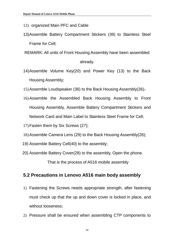- 12) organized Main PFC and Cable
- 13)Assemble Battery Compartment Stickers (39) to Stainless Steel Frame for Cell;
- REMARK: All units of Front Housing Assembly have been assembled already.
- 14)Assemble Volume Key(20) and Power Key (13) to the Back Housing Assembly;
- 15)Assemble Loudspeaker (36) to the Back Housing Assembly(26);
- 16)Assemble the Assembled Back Housing Assembly to Front Housing Assembly, Assemble Battery Compartment Stickers and Network Card and Main Label to Stainless Steel Frame for Cell;
- 17) Fasten them by Six Screws (27);
- 18)Assemble Camera Lens (29) to the Back Housing Assembly(26);
- 19) Assemble Battery Cell(40) to the assembly;
- 20) Assemble Battery Cover(28) to the assembly, Open the phone.

That is the process of A516 mobile assembly

#### **5.2 Precautions in Lenovo A516 main body assembly**

- 1) Fastening the Screws needs appropriate strength, after fastening must check up that the up and down cover is locked in place, and without looseness;
- 2) Pressure shall be ensured when assembling CTP components to